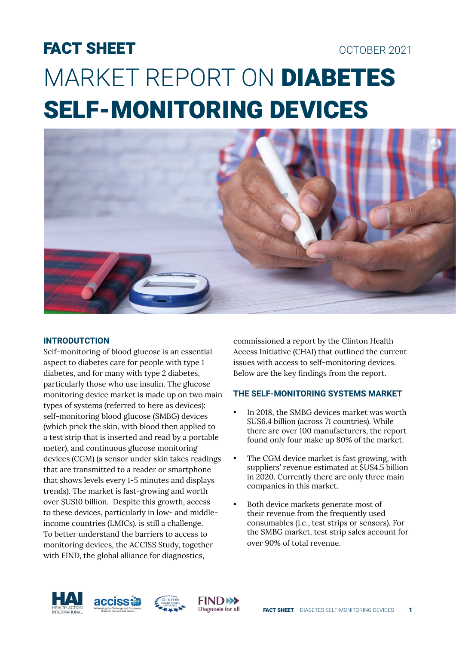# FACT SHEET OCTOBER 2021 MARKET REPORT ON DIABETES SELF-MONITORING DEVICES



#### **INTRODUTCTION**

Self-monitoring of blood glucose is an essential aspect to diabetes care for people with type 1 diabetes, and for many with type 2 diabetes, particularly those who use insulin. The glucose monitoring device market is made up on two main types of systems (referred to here as devices): self-monitoring blood glucose (SMBG) devices (which prick the skin, with blood then applied to a test strip that is inserted and read by a portable meter), and continuous glucose monitoring devices (CGM) (a sensor under skin takes readings that are transmitted to a reader or smartphone that shows levels every 1-5 minutes and displays trends). The market is fast-growing and worth over \$US10 billion. Despite this growth, access to these devices, particularly in low- and middleincome countries (LMICs), is still a challenge. To better understand the barriers to access to monitoring devices, the ACCISS Study, together with FIND, the global alliance for diagnostics,

commissioned a report by the Clinton Health Access Initiative (CHAI) that outlined the current issues with access to self-monitoring devices. Below are the key findings from the report.

### **THE SELF-MONITORING SYSTEMS MARKET**

- In 2018, the SMBG devices market was worth \$US6.4 billion (across 71 countries). While there are over 100 manufacturers, the report found only four make up 80% of the market.
- The CGM device market is fast growing, with suppliers' revenue estimated at \$US4.5 billion in 2020. Currently there are only three main companies in this market.
- Both device markets generate most of their revenue from the frequently used consumables (i.e., test strips or sensors). For the SMBG market, test strip sales account for over 90% of total revenue.





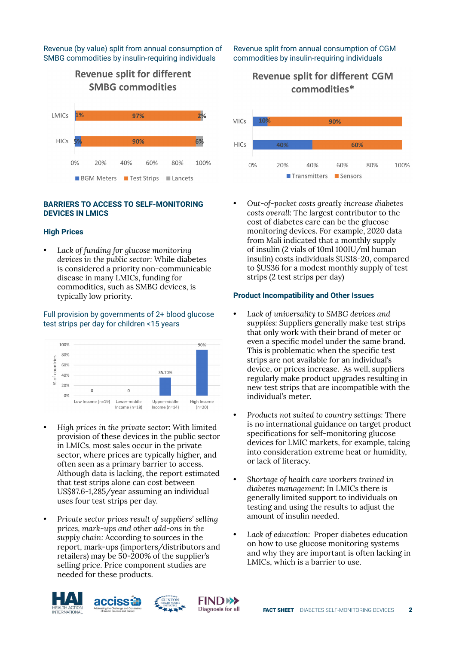#### Revenue (by value) split from annual consumption of SMBG commodities by insulin-requiring individuals

## **Revenue split for different SMBG commodities**



#### **BARRIERS TO ACCESS TO SELF-MONITORING DEVICES IN LMICS**

#### **High Prices**

*• Lack of funding for glucose monitoring devices in the public sector:* While diabetes is considered a priority non-communicable disease in many LMICs, funding for commodities, such as SMBG devices, is typically low priority.

#### Full provision by governments of 2+ blood glucose test strips per day for children <15 years



- *High prices in the private sector:* With limited provision of these devices in the public sector in LMICs, most sales occur in the private sector, where prices are typically higher, and often seen as a primary barrier to access. Although data is lacking, the report estimated that test strips alone can cost between US\$87.6-1,285/year assuming an individual uses four test strips per day.
- *Private sector prices result of suppliers' selling prices, mark-ups and other add-ons in the supply chain:* According to sources in the report, mark-ups (importers/distributors and retailers) may be 50-200% of the supplier's selling price. Price component studies are needed for these products.

## Revenue split from annual consumption of CGM commodities by insulin-requiring individuals

## **Revenue split for different CGM** commodities\*



*• Out-of-pocket costs greatly increase diabetes costs overall:* The largest contributor to the cost of diabetes care can be the glucose monitoring devices. For example, 2020 data from Mali indicated that a monthly supply of insulin (2 vials of 10ml 100IU/ml human insulin) costs individuals \$US18-20, compared to \$US36 for a modest monthly supply of test strips (2 test strips per day)

#### **Product Incompatibility and Other Issues**

- *Lack of universality to SMBG devices and supplies:* Suppliers generally make test strips that only work with their brand of meter or even a specific model under the same brand. This is problematic when the specific test strips are not available for an individual's device, or prices increase. As well, suppliers regularly make product upgrades resulting in new test strips that are incompatible with the individual's meter.
- *Products not suited to country settings:* There is no international guidance on target product specifications for self-monitoring glucose devices for LMIC markets, for example, taking into consideration extreme heat or humidity, or lack of literacy.
- *Shortage of health care workers trained in diabetes management:* In LMICs there is generally limited support to individuals on testing and using the results to adjust the amount of insulin needed.
- *Lack of education:* Proper diabetes education on how to use glucose monitoring systems and why they are important is often lacking in LMICs, which is a barrier to use.